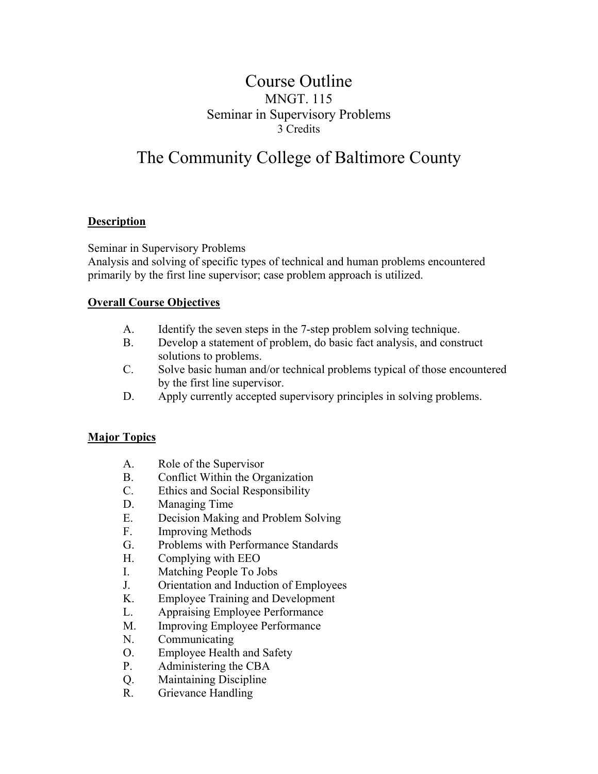## Course Outline MNGT. 115 Seminar in Supervisory Problems 3 Credits

# The Community College of Baltimore County

### **Description**

Seminar in Supervisory Problems

Analysis and solving of specific types of technical and human problems encountered primarily by the first line supervisor; case problem approach is utilized.

#### **Overall Course Objectives**

- A. Identify the seven steps in the 7-step problem solving technique.
- B. Develop a statement of problem, do basic fact analysis, and construct solutions to problems.
- C. Solve basic human and/or technical problems typical of those encountered by the first line supervisor.
- D. Apply currently accepted supervisory principles in solving problems.

#### **Major Topics**

- A. Role of the Supervisor
- B. Conflict Within the Organization
- C. Ethics and Social Responsibility
- D. Managing Time
- E. Decision Making and Problem Solving
- F. Improving Methods
- G. Problems with Performance Standards
- H. Complying with EEO
- I. Matching People To Jobs
- J. Orientation and Induction of Employees
- K. Employee Training and Development
- L. Appraising Employee Performance
- M. Improving Employee Performance
- N. Communicating
- O. Employee Health and Safety
- P. Administering the CBA
- Q. Maintaining Discipline
- R. Grievance Handling